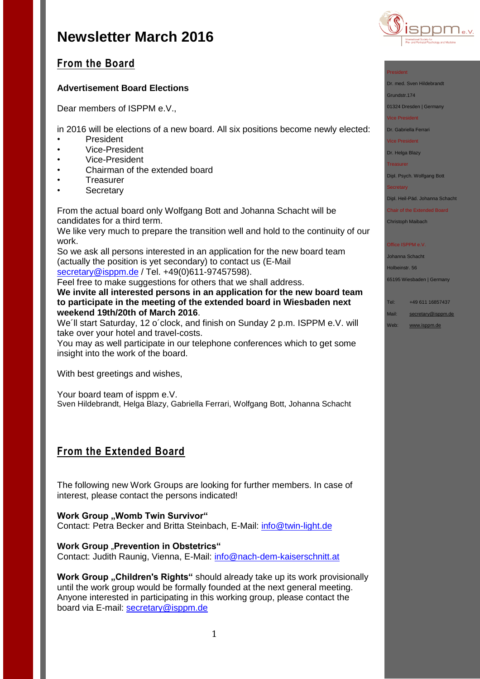

## **From the Board**

## **Advertisement Board Elections**

Dear members of ISPPM e.V.,

in 2016 will be elections of a new board. All six positions become newly elected:

- President
- Vice-President
- Vice-President
- Chairman of the extended board
- Treasurer
- **Secretary**

From the actual board only Wolfgang Bott and Johanna Schacht will be candidates for a third term.

We like very much to prepare the transition well and hold to the continuity of our work.

So we ask all persons interested in an application for the new board team (actually the position is yet secondary) to contact us (E-Mail [secretary@isppm.de](mailto:secretary@isppm.de) / Tel. +49(0)611-97457598).

Feel free to make suggestions for others that we shall address. **We invite all interested persons in an application for the new board team**

**to participate in the meeting of the extended board in Wiesbaden next weekend 19th/20th of March 2016**.

We´ll start Saturday, 12 o´clock, and finish on Sunday 2 p.m. ISPPM e.V. will take over your hotel and travel-costs.

You may as well participate in our telephone conferences which to get some insight into the work of the board.

With best greetings and wishes,

Your board team of isppm e.V. Sven Hildebrandt, Helga Blazy, Gabriella Ferrari, Wolfgang Bott, Johanna Schacht

# **From the Extended Board**

The following new Work Groups are looking for further members. In case of interest, please contact the persons indicated!

**Work Group "Womb Twin Survivor"** Contact: Petra Becker and Britta Steinbach, E-Mail: [info@twin-light.de](mailto:info@twin-light.de)

## **Work Group** "Prevention in Obstetrics"

Contact: Judith Raunig, Vienna, E-Mail: [info@nach-dem-kaiserschnitt.at](mailto:info@nach-dem-kaiserschnitt.at)

**Work Group "Children's Rights"** should already take up its work provisionally until the work group would be formally founded at the next general meeting. Anyone interested in participating in this working group, please contact the board via E-mail: [secretary@isppm.de](mailto:secretary@isppm.de)

#### President

Dr. med. Sven Hildebrandt

Grundstr.174

01324 Dresden | Germany

Vice President

Dr. Gabriella Ferrari

Vice President

## Dr. Helga Blazy

Treasurer

Dipl. Psych. Wolfgang Bott

**Secretary** 

Dipl. Heil-Päd. Johanna Schacht

Chair of the Extended Board

Christoph Maibach

### Office ISPPM e.V

Johanna Schacht Holbeinstr. 56

65195 Wiesbaden | Germany

Tel: +49 611 16857437

- Mail: [secretary@isppm.de](mailto:secretary@isppm.de)
- Web: [www.isppm.de](http://www.isppm.de/)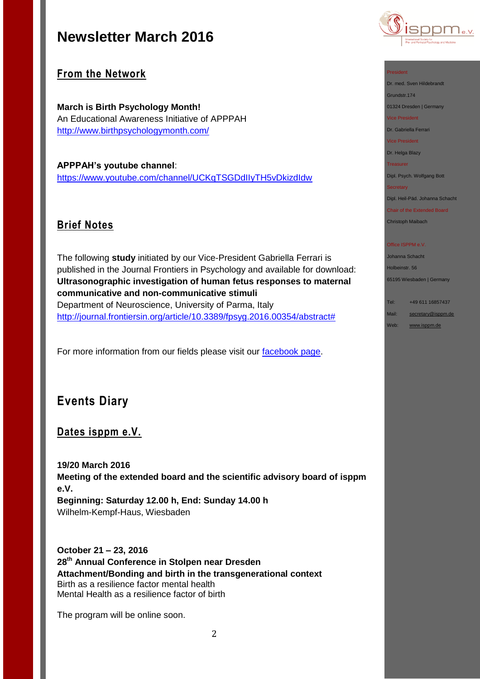

## **From the Network**

**March is Birth Psychology Month!** An Educational Awareness Initiative of APPPAH <http://www.birthpsychologymonth.com/>

**APPPAH's youtube channel**: <https://www.youtube.com/channel/UCKqTSGDdIIyTH5vDkizdIdw>

## **Brief Notes**

The following **study** initiated by our Vice-President Gabriella Ferrari is published in the Journal Frontiers in Psychology and available for download: **Ultrasonographic investigation of human fetus responses to maternal communicative and non-communicative stimuli**  Department of Neuroscience, University of Parma, Italy [http://journal.frontiersin.org/article/10.3389/fpsyg.2016.00354/abstract#](http://journal.frontiersin.org/article/10.3389/fpsyg.2016.00354/abstract%23)

For more information from our fields please visit our [facebook page.](https://www.facebook.com/ISPPM-eV-124066644364106/)

# **Events Diary**

## **Dates isppm e.V.**

**19/20 March 2016 Meeting of the extended board and the scientific advisory board of isppm e.V. Beginning: Saturday 12.00 h, End: Sunday 14.00 h** Wilhelm-Kempf-Haus, Wiesbaden

**October 21 – 23, 2016 28th Annual Conference in Stolpen near Dresden Attachment/Bonding and birth in the transgenerational context** Birth as a resilience factor mental health Mental Health as a resilience factor of birth

The program will be online soon.

### President

Dr. med. Sven Hildebrandt Grundstr.174

01324 Dresden | Germany

Vice President

Dr. Gabriella Ferrari

Vice President

Dr. Helga Blazy

Treasurer

Dipl. Psych. Wolfgang Bott

#### **Secretary**

Dipl. Heil-Päd. Johanna Schacht

Chair of the Extended Board Christoph Maibach

#### Office ISPPM e.V.

Johanna Schacht Holbeinstr. 56 65195 Wiesbaden | Germany

Tel: +49 611 16857437

Mail: [secretary@isppm.de](mailto:secretary@isppm.de)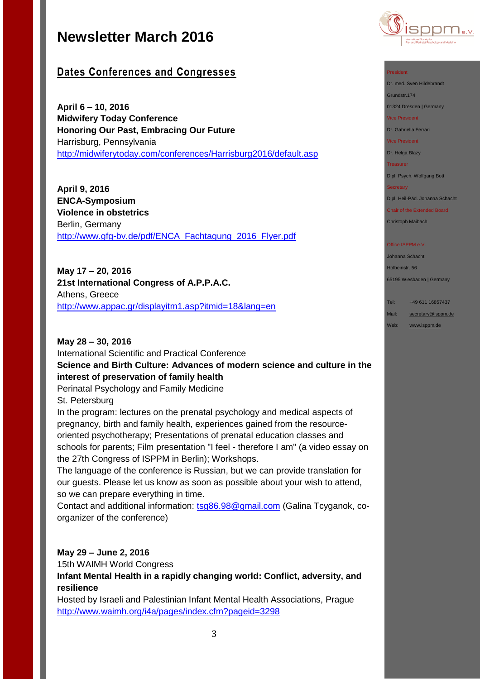

## **Dates Conferences and Congresses**

**April 6 – 10, 2016 Midwifery Today Conference Honoring Our Past, Embracing Our Future** Harrisburg, Pennsylvania <http://midwiferytoday.com/conferences/Harrisburg2016/default.asp>

**April 9, 2016 ENCA-Symposium Violence in obstetrics** Berlin, Germany [http://www.gfg-bv.de/pdf/ENCA\\_Fachtagung\\_2016\\_Flyer.pdf](http://www.gfg-bv.de/pdf/ENCA_Fachtagung_2016_Flyer.pdf)

**May 17 – 20, 2016 21st International Congress of A.P.P.A.C.** Athens, Greece <http://www.appac.gr/displayitm1.asp?itmid=18&lang=en>

**May 28 – 30, 2016** International Scientific and Practical Conference **Science and Birth Culture: Advances of modern science and culture in the interest of preservation of family health**

Perinatal Psychology and Family Medicine St. Petersburg

In the program: lectures on the prenatal psychology and medical aspects of pregnancy, birth and family health, experiences gained from the resourceoriented psychotherapy; Presentations of prenatal education classes and schools for parents; Film presentation "I feel - therefore I am" (a video essay on the 27th Congress of ISPPM in Berlin); Workshops.

The language of the conference is Russian, but we can provide translation for our guests. Please let us know as soon as possible about your wish to attend, so we can prepare everything in time.

Contact and additional information: [tsg86.98@gmail.com](mailto:tsg86.98@gmail.com) (Galina Tcyganok, coorganizer of the conference)

## **May 29 – June 2, 2016**

15th WAIMH World Congress

**Infant Mental Health in a rapidly changing world: Conflict, adversity, and resilience**

Hosted by Israeli and Palestinian Infant Mental Health Associations, Prague <http://www.waimh.org/i4a/pages/index.cfm?pageid=3298>

#### President

Dr. med. Sven Hildebrandt

Grundstr.174 01324 Dresden | Germany

Vice President

Dr. Gabriella Ferrari

Vice President

Dr. Helga Blazy

Treasurer

Dipl. Psych. Wolfgang Bott

**Secretary** 

Dipl. Heil-Päd. Johanna Schacht

Chair of the Extended Board Christoph Maibach

### Office ISPPM e.V.

Johanna Schacht Holbeinstr. 56 65195 Wiesbaden | Germany

Tel: +49 611 16857437

Mail: [secretary@isppm.de](mailto:secretary@isppm.de)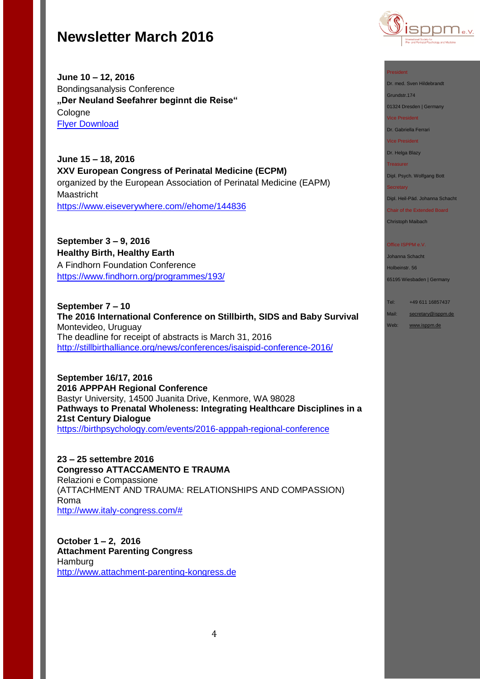

**June 10 – 12, 2016**  Bondingsanalysis Conference **"Der Neuland Seefahrer beginnt die Reise"** Cologne [Flyer Download](http://www.isppm.de/wp-content/uploads/2016/02/Flyer-BA-Tagung_2016.pdf)

**June 15 – 18, 2016 XXV European Congress of Perinatal Medicine (ECPM)** organized by the European Association of Perinatal Medicine (EAPM) Maastricht [https://www.eiseverywhere.com//ehome/144836](https://www.eiseverywhere.com/ehome/144836)

**September 3 – 9, 2016 Healthy Birth, Healthy Earth** A Findhorn Foundation Conference <https://www.findhorn.org/programmes/193/>

**September 7 – 10 The 2016 International Conference on Stillbirth, SIDS and Baby Survival** Montevideo, Uruguay The deadline for receipt of abstracts is March 31, 2016 <http://stillbirthalliance.org/news/conferences/isaispid-conference-2016/>

**September 16/17, 2016 2016 APPPAH Regional Conference** Bastyr University, 14500 Juanita Drive, Kenmore, WA 98028 **Pathways to Prenatal Wholeness: Integrating Healthcare Disciplines in a 21st Century Dialogue** <https://birthpsychology.com/events/2016-apppah-regional-conference>

**23 – 25 settembre 2016 Congresso ATTACCAMENTO E TRAUMA** Relazioni e Compassione (ATTACHMENT AND TRAUMA: RELATIONSHIPS AND COMPASSION) Roma [http://www.italy-congress.com/#](http://www.italy-congress.com/%23)

**October 1 – 2, 2016 Attachment Parenting Congress Hamburg** [http://www.attachment-parenting-kongress.de](http://www.attachment-parenting-kongress.de/)

#### President

Dr. med. Sven Hildebrandt

Grundstr.174 01324 Dresden | Germany

Vice President

Dr. Gabriella Ferrari

Vice President

Dr. Helga Blazy

Treasurer

Dipl. Psych. Wolfgang Bott

**Secretary** 

Dipl. Heil-Päd. Johanna Schacht

Chair of the Extended Board Christoph Maibach

#### Office ISPPM e.V.

Johanna Schacht Holbeinstr. 56

65195 Wiesbaden | Germany

Tel: +49 611 16857437

Mail: [secretary@isppm.de](mailto:secretary@isppm.de)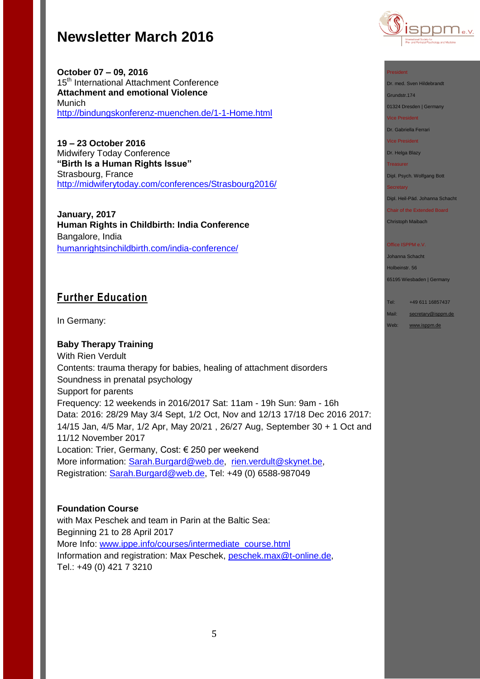

**October 07 – 09, 2016**  15<sup>th</sup> International Attachment Conference **Attachment and emotional Violence** Munich <http://bindungskonferenz-muenchen.de/1-1-Home.html>

**19 – 23 October 2016** Midwifery Today Conference **"Birth Is a Human Rights Issue"** Strasbourg, France <http://midwiferytoday.com/conferences/Strasbourg2016/>

**January, 2017 Human Rights in Childbirth: India Conference** Bangalore, India [humanrightsinchildbirth.com/india-conference/](http://humanrightsinchildbirth.com/india-conference/)

## **Further Education**

In Germany:

## **Baby Therapy Training**

With Rien Verdult Contents: trauma therapy for babies, healing of attachment disorders Soundness in prenatal psychology Support for parents Frequency: 12 weekends in 2016/2017 Sat: 11am - 19h Sun: 9am - 16h Data: 2016: 28/29 May 3/4 Sept, 1/2 Oct, Nov and 12/13 17/18 Dec 2016 2017: 14/15 Jan, 4/5 Mar, 1/2 Apr, May 20/21 , 26/27 Aug, September 30 + 1 Oct and 11/12 November 2017 Location: Trier, Germany, Cost: € 250 per weekend More information: [Sarah.Burgard@web.de,](mailto:Sarah.Burgard@web.de) [rien.verdult@skynet.be,](mailto:rien.verdult@skynet.be) Registration: [Sarah.Burgard@web.de,](mailto:Sarah.Burgard@web.de) Tel: +49 (0) 6588-987049

## **Foundation Course**

with Max Peschek and team in Parin at the Baltic Sea: Beginning 21 to 28 April 2017 More Info: [www.ippe.info/courses/intermediate\\_course.html](http://www.ippe.info/courses/intermediate_course.html) Information and registration: Max Peschek, [peschek.max@t-online.de,](mailto:peschek.max@t-online.de) Tel.: +49 (0) 421 7 3210



#### President

Dr. med. Sven Hildebrandt Grundstr.174

01324 Dresden | Germany

Vice President

Dr. Gabriella Ferrari

Vice President

Dr. Helga Blazy

Treasurer

Dipl. Psych. Wolfgang Bott

#### **Secretary**

Dipl. Heil-Päd. Johanna Schacht

Chair of the Extended Board

Christoph Maibach

#### Office ISPPM e.V.

Johanna Schacht Holbeinstr. 56

65195 Wiesbaden | Germany

Tel: +49 611 16857437

Mail: [secretary@isppm.de](mailto:secretary@isppm.de)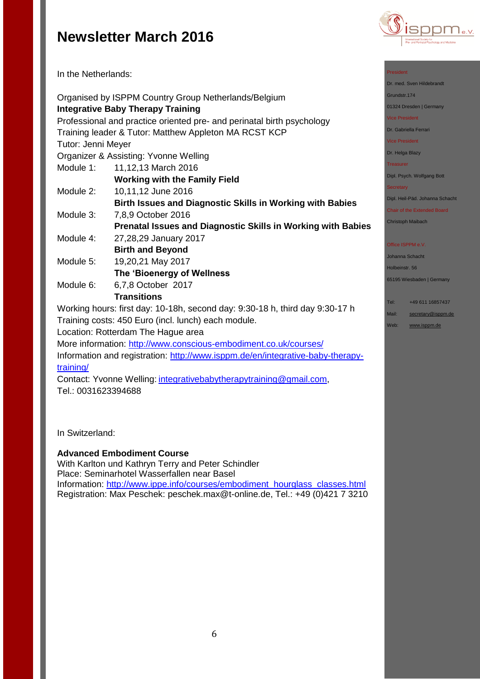

In the Netherlands:

|                    | Organised by ISPPM Country Group Netherlands/Belgium                         |
|--------------------|------------------------------------------------------------------------------|
|                    | <b>Integrative Baby Therapy Training</b>                                     |
|                    | Professional and practice oriented pre- and perinatal birth psychology       |
|                    | Training leader & Tutor: Matthew Appleton MA RCST KCP                        |
| Tutor: Jenni Meyer |                                                                              |
|                    | Organizer & Assisting: Yvonne Welling                                        |
| Module 1:          | 11,12,13 March 2016                                                          |
|                    | <b>Working with the Family Field</b>                                         |
| Module 2:          | 10,11,12 June 2016                                                           |
|                    | <b>Birth Issues and Diagnostic Skills in Working with Babies</b>             |
| Module 3:          | 7,8,9 October 2016                                                           |
|                    | Prenatal Issues and Diagnostic Skills in Working with Babies                 |
| Module 4:          | 27,28,29 January 2017                                                        |
|                    | <b>Birth and Beyond</b>                                                      |
| Module 5:          | 19,20,21 May 2017                                                            |
|                    | The 'Bioenergy of Wellness                                                   |
| Module 6:          | 6,7,8 October 2017                                                           |
|                    | <b>Transitions</b>                                                           |
|                    | Working hours: first day: 10-18h, second day: 9:30-18 h, third day 9:30-17 h |
|                    | Training costs: 450 Euro (incl. lunch) each module.                          |
|                    | Location: Rotterdam The Hague area                                           |
|                    | More information: http://www.conscious-embodiment.co.uk/courses/             |

Information and registration: [http://www.isppm.de/en/integrative-baby-therapy](http://www.isppm.de/en/integrative-baby-therapy-training/)[training/](http://www.isppm.de/en/integrative-baby-therapy-training/)

Contact: Yvonne Welling: [integrativebabytherapytraining@gmail.com,](mailto:integrativebabytherapytraining@gmail.com) Tel.: 0031623394688

In Switzerland:

## **Advanced Embodiment Course**

With Karlton und Kathryn Terry and Peter Schindler Place: Seminarhotel Wasserfallen near Basel Information: [http://www.ippe.info/courses/embodiment\\_hourglass\\_classes.html](http://www.ippe.info/courses/embodiment_hourglass_classes.html)  Registration: Max Peschek: [peschek.max@t-online.de,](mailto:peschek.max@t-online.de) Tel.: +49 (0)421 7 3210

### President

Dr. med. Sven Hildebrandt

Grundstr.174

01324 Dresden | Germany

#### Vice President

Dr. Gabriella Ferrari

## Vice President

Dr. Helga Blazy

## **Treasurer**

Dipl. Psych. Wolfgang Bott

#### **Secretary**

Dipl. Heil-Päd. Johanna Schacht

## Chair of the Extended Board

Christoph Maibach

### Office ISPPM e.V.

Johanna Schacht Holbeinstr. 56

65195 Wiesbaden | Germany

### Tel: +49 611 16857437

Mail: [secretary@isppm.de](mailto:secretary@isppm.de)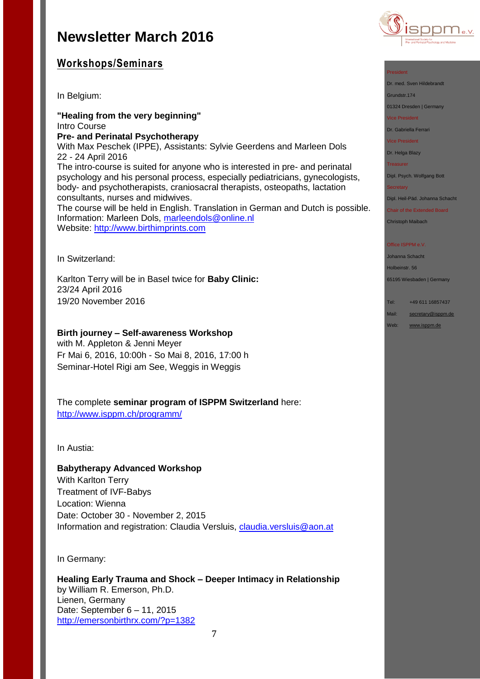

## **Workshops/Seminars**

In Belgium:

**"Healing from the very beginning"** Intro Course **Pre- and Perinatal Psychotherapy** With Max Peschek (IPPE), Assistants: Sylvie Geerdens and Marleen Dols 22 - 24 April 2016 The intro-course is suited for anyone who is interested in pre- and perinatal psychology and his personal process, especially pediatricians, gynecologists, body- and psychotherapists, craniosacral therapists, osteopaths, lactation consultants, nurses and midwives. The course will be held in English. Translation in German and Dutch is possible. Information: Marleen Dols, [marleendols@online.nl](mailto:marleendols@online.nl) Website: [http://www.birthimprints.com](http://www.birthimprints.com/)

In Switzerland:

Karlton Terry will be in Basel twice for **Baby Clinic:** 23/24 April 2016 19/20 November 2016

## **Birth journey – Self-awareness Workshop**

with M. Appleton & Jenni Meyer Fr Mai 6, 2016, 10:00h - So Mai 8, 2016, 17:00 h Seminar-Hotel Rigi am See, Weggis in Weggis

The complete **seminar program of ISPPM Switzerland** here: <http://www.isppm.ch/programm/>

In Austia:

## **Babytherapy Advanced Workshop**

With Karlton Terry Treatment of IVF-Babys Location: Wienna Date: October 30 - November 2, 2015 Information and registration: Claudia Versluis, [claudia.versluis@aon.at](mailto:claudia.versluis@aon.at)

In Germany:

**Healing Early Trauma and Shock – Deeper Intimacy in Relationship** by William R. Emerson, Ph.D. Lienen, Germany Date: September 6 – 11, 2015 <http://emersonbirthrx.com/?p=1382>



Dr. med. Sven Hildebrandt

Grundstr.174

01324 Dresden | Germany

Vice President

Dr. Gabriella Ferrari

Vice President

Dr. Helga Blazy

Treasurer

Dipl. Psych. Wolfgang Bott

**Secretary** 

Dipl. Heil-Päd. Johanna Schacht

Chair of the Extended Board Christoph Maibach

#### Office ISPPM e.V

Johanna Schacht Holbeinstr. 56 65195 Wiesbaden | Germany

Tel: +49 611 16857437

Mail: [secretary@isppm.de](mailto:secretary@isppm.de)